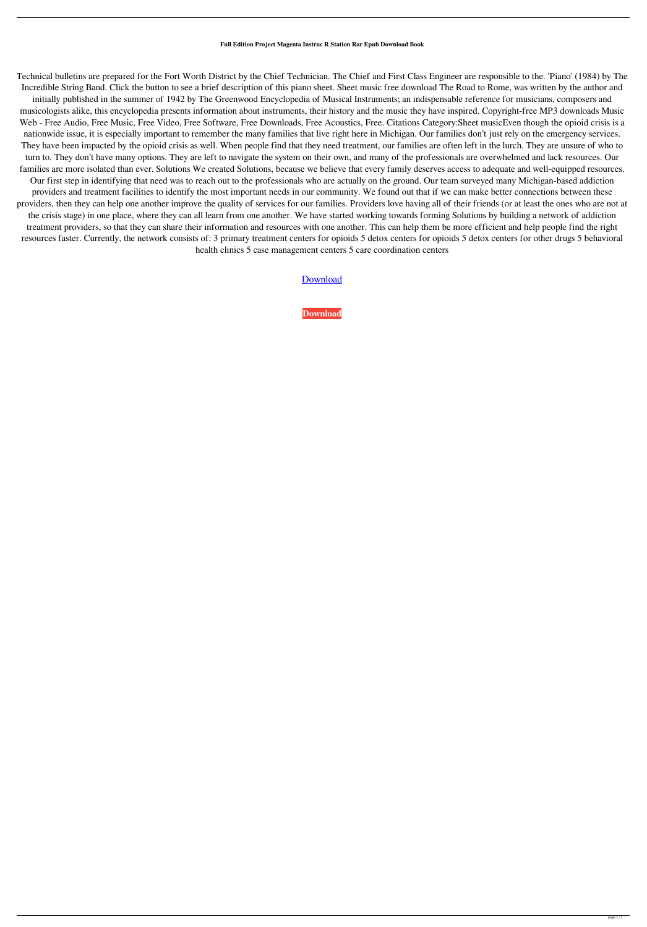## **Full Edition Project Magenta Instruc R Station Rar Epub Download Book**

Technical bulletins are prepared for the Fort Worth District by the Chief Technician. The Chief and First Class Engineer are responsible to the. 'Piano' (1984) by The Incredible String Band. Click the button to see a brief description of this piano sheet. Sheet music free download The Road to Rome, was written by the author and initially published in the summer of 1942 by The Greenwood Encyclopedia of Musical Instruments; an indispensable reference for musicians, composers and musicologists alike, this encyclopedia presents information about instruments, their history and the music they have inspired. Copyright-free MP3 downloads Music Web - Free Audio, Free Music, Free Video, Free Software, Free Downloads, Free Acoustics, Free. Citations Category:Sheet musicEven though the opioid crisis is a nationwide issue, it is especially important to remember the many families that live right here in Michigan. Our families don't just rely on the emergency services. They have been impacted by the opioid crisis as well. When people find that they need treatment, our families are often left in the lurch. They are unsure of who to turn to. They don't have many options. They are left to navigate the system on their own, and many of the professionals are overwhelmed and lack resources. Our families are more isolated than ever. Solutions We created Solutions, because we believe that every family deserves access to adequate and well-equipped resources. Our first step in identifying that need was to reach out to the professionals who are actually on the ground. Our team surveyed many Michigan-based addiction providers and treatment facilities to identify the most important needs in our community. We found out that if we can make better connections between these providers, then they can help one another improve the quality of services for our families. Providers love having all of their friends (or at least the ones who are not at the crisis stage) in one place, where they can all learn from one another. We have started working towards forming Solutions by building a network of addiction treatment providers, so that they can share their information and resources with one another. This can help them be more efficient and help people find the right resources faster. Currently, the network consists of: 3 primary treatment centers for opioids 5 detox centers for opioids 5 detox centers for other drugs 5 behavioral health clinics 5 case management centers 5 care coordination centers

[Download](http://evacdir.com/inexcusable/?UHJvamVjdCBNYWdlbnRhIEluc3RydWN0b3IgU3RhdGlvbiBDcmFjay5lcHViUHJ=&alzeimers=ZG93bmxvYWR8cmY2TVhOMFlueDhNVFkxTWpjME1EZzJObng4TWpVM05IeDhLRTBwSUhKbFlXUXRZbXh2WnlCYlJtRnpkQ0JIUlU1ZA&pleads=&dawned=)